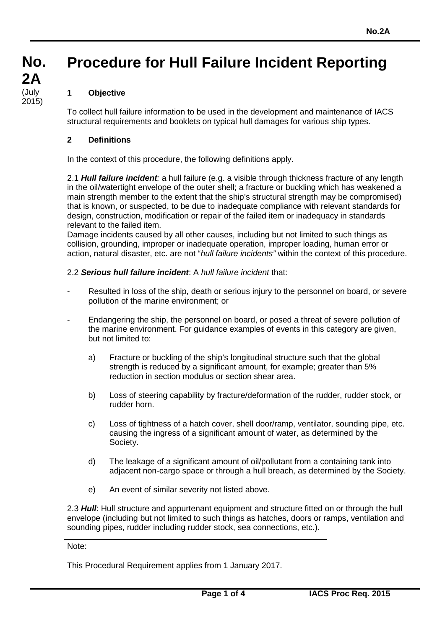# **Procedure for Hull Failure Incident Reporting**

# **1 Objective**

To collect hull failure information to be used in the development and maintenance of IACS structural requirements and booklets on typical hull damages for various ship types.

# **2 Definitions**

In the context of this procedure, the following definitions apply.

2.1 *Hull failure incident:* a hull failure (e.g. a visible through thickness fracture of any length in the oil/watertight envelope of the outer shell; a fracture or buckling which has weakened a main strength member to the extent that the ship's structural strength may be compromised) that is known, or suspected, to be due to inadequate compliance with relevant standards for design, construction, modification or repair of the failed item or inadequacy in standards relevant to the failed item.

Damage incidents caused by all other causes, including but not limited to such things as collision, grounding, improper or inadequate operation, improper loading, human error or action, natural disaster, etc. are not "*hull failure incidents"* within the context of this procedure.

# 2.2 *Serious hull failure incident*: A *hull failure incident* that:

- Resulted in loss of the ship, death or serious injury to the personnel on board, or severe pollution of the marine environment; or
- Endangering the ship, the personnel on board, or posed a threat of severe pollution of the marine environment. For guidance examples of events in this category are given, but not limited to:
	- a) Fracture or buckling of the ship's longitudinal structure such that the global strength is reduced by a significant amount, for example; greater than 5% reduction in section modulus or section shear area.
	- b) Loss of steering capability by fracture/deformation of the rudder, rudder stock, or rudder horn.
	- c) Loss of tightness of a hatch cover, shell door/ramp, ventilator, sounding pipe, etc. causing the ingress of a significant amount of water, as determined by the Society.
	- d) The leakage of a significant amount of oil/pollutant from a containing tank into adjacent non-cargo space or through a hull breach, as determined by the Society.
	- e) An event of similar severity not listed above.

2.3 *Hull*: Hull structure and appurtenant equipment and structure fitted on or through the hull envelope (including but not limited to such things as hatches, doors or ramps, ventilation and sounding pipes, rudder including rudder stock, sea connections, etc.).

#### Note:

This Procedural Requirement applies from 1 January 2017.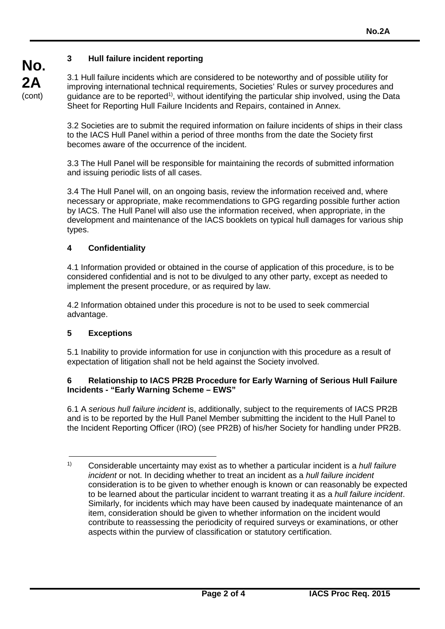# **3 Hull failure incident reporting**

3.1 Hull failure incidents which are considered to be noteworthy and of possible utility for improving international technical requirements, Societies' Rules or survey procedures and quidance are to be reported<sup>1)</sup>, without identifying the particular ship involved, using the Data Sheet for Reporting Hull Failure Incidents and Repairs, contained in Annex.

3.2 Societies are to submit the required information on failure incidents of ships in their class to the IACS Hull Panel within a period of three months from the date the Society first becomes aware of the occurrence of the incident.

3.3 The Hull Panel will be responsible for maintaining the records of submitted information and issuing periodic lists of all cases.

3.4 The Hull Panel will, on an ongoing basis, review the information received and, where necessary or appropriate, make recommendations to GPG regarding possible further action by IACS. The Hull Panel will also use the information received, when appropriate, in the development and maintenance of the IACS booklets on typical hull damages for various ship types.

#### **4 Confidentiality**

4.1 Information provided or obtained in the course of application of this procedure, is to be considered confidential and is not to be divulged to any other party, except as needed to implement the present procedure, or as required by law.

4.2 Information obtained under this procedure is not to be used to seek commercial advantage.

#### **5 Exceptions**

5.1 Inability to provide information for use in conjunction with this procedure as a result of expectation of litigation shall not be held against the Society involved.

#### **6 Relationship to IACS PR2B Procedure for Early Warning of Serious Hull Failure Incidents - "Early Warning Scheme – EWS"**

6.1 A *serious hull failure incident* is, additionally, subject to the requirements of IACS PR2B and is to be reported by the Hull Panel Member submitting the incident to the Hull Panel to the Incident Reporting Officer (IRO) (see PR2B) of his/her Society for handling under PR2B.

<sup>1)</sup> Considerable uncertainty may exist as to whether a particular incident is a *hull failure incident* or not. In deciding whether to treat an incident as a *hull failure incident* consideration is to be given to whether enough is known or can reasonably be expected to be learned about the particular incident to warrant treating it as a *hull failure incident*. Similarly, for incidents which may have been caused by inadequate maintenance of an item, consideration should be given to whether information on the incident would contribute to reassessing the periodicity of required surveys or examinations, or other aspects within the purview of classification or statutory certification.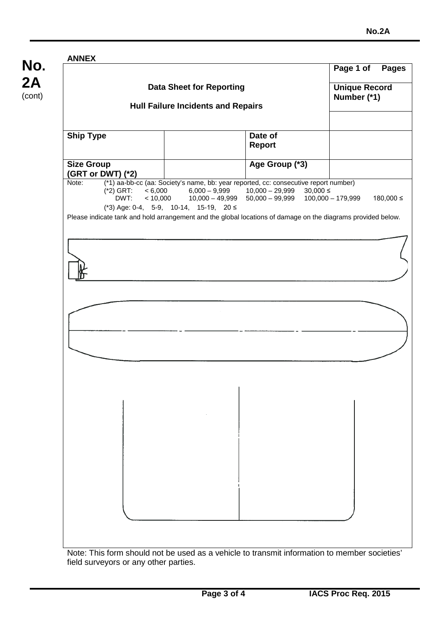# **No. 2A** (cont) **Data Sheet for Reporting Hull Failure Incidents and Repairs Page 1 of Pages Unique Record Number (\*1) Ship Type**  Date of **Report Size Group (GRT or DWT) (\*2)**<br>Note: (\*1) aa-bb-o **Age Group (\*3)** (\*1) aa-bb-cc (aa: Society's name, bb: year reported, cc: consecutive report number) (\*2) GRT: < 6,000 6,000 – 9,999 10,000 – 29,999 30,000 ≤  $0.000$  10,000 – 49,999 50,000 – 99,999 100,000 – 179,999 180,000 ≤ (\*3) Age: 0-4, 5-9, 10-14, 15-19, 20 ≤ Please indicate tank and hold arrangement and the global locations of damage on the diagrams provided below.

**ANNEX**

Note: This form should not be used as a vehicle to transmit information to member societies' field surveyors or any other parties.